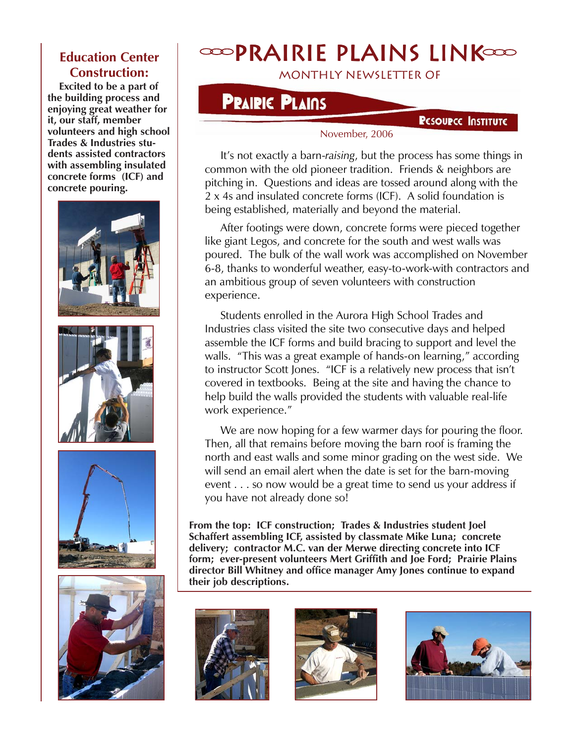## **Education Center Construction:**

 **Excited to be a part of the building process and enjoying great weather for it, our staff, member volunteers and high school Trades & Industries students assisted contractors with assembling insulated concrete forms (ICF) and concrete pouring.**









# $\infty$ PRAIRIE PLAINS LINK $\infty$

monthly newsletter of

## **PRAIRIC PLAINS**

### **PESOURCE INSTITUTE**

#### November, 2006

 It's not exactly a barn-*raising*, but the process has some things in common with the old pioneer tradition. Friends & neighbors are pitching in. Questions and ideas are tossed around along with the 2 x 4s and insulated concrete forms (ICF). A solid foundation is being established, materially and beyond the material.

 After footings were down, concrete forms were pieced together like giant Legos, and concrete for the south and west walls was poured. The bulk of the wall work was accomplished on November 6-8, thanks to wonderful weather, easy-to-work-with contractors and an ambitious group of seven volunteers with construction experience.

 Students enrolled in the Aurora High School Trades and Industries class visited the site two consecutive days and helped assemble the ICF forms and build bracing to support and level the walls. "This was a great example of hands-on learning," according to instructor Scott Jones. "ICF is a relatively new process that isn't covered in textbooks. Being at the site and having the chance to help build the walls provided the students with valuable real-life work experience."

We are now hoping for a few warmer days for pouring the floor. Then, all that remains before moving the barn roof is framing the north and east walls and some minor grading on the west side. We will send an email alert when the date is set for the barn-moving event . . . so now would be a great time to send us your address if you have not already done so!

**From the top: ICF construction; Trades & Industries student Joel Schaffert assembling ICF, assisted by classmate Mike Luna; concrete delivery; contractor M.C. van der Merwe directing concrete into ICF form; ever-present volunteers Mert Griffith and Joe Ford; Prairie Plains director Bill Whitney and office manager Amy Jones continue to expand their job descriptions.**